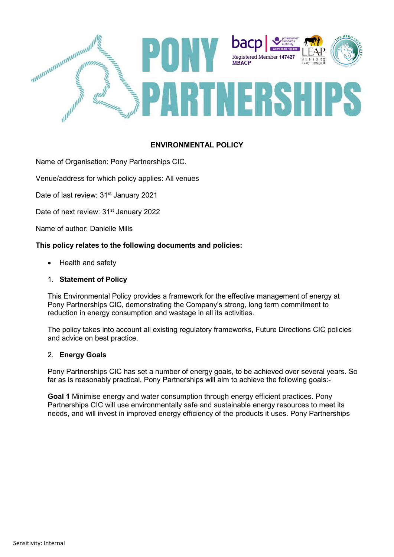

# **ENVIRONMENTAL POLICY**

Name of Organisation: Pony Partnerships CIC.

Venue/address for which policy applies: All venues

Date of last review: 31<sup>st</sup> January 2021

Date of next review: 31<sup>st</sup> January 2022

Name of author: Danielle Mills

### **This policy relates to the following documents and policies:**

• Health and safety

## 1. **Statement of Policy**

This Environmental Policy provides a framework for the effective management of energy at Pony Partnerships CIC, demonstrating the Company's strong, long term commitment to reduction in energy consumption and wastage in all its activities.

The policy takes into account all existing regulatory frameworks, Future Directions CIC policies and advice on best practice.

#### 2. **Energy Goals**

Pony Partnerships CIC has set a number of energy goals, to be achieved over several years. So far as is reasonably practical, Pony Partnerships will aim to achieve the following goals:-

**Goal 1** Minimise energy and water consumption through energy efficient practices. Pony Partnerships CIC will use environmentally safe and sustainable energy resources to meet its needs, and will invest in improved energy efficiency of the products it uses. Pony Partnerships